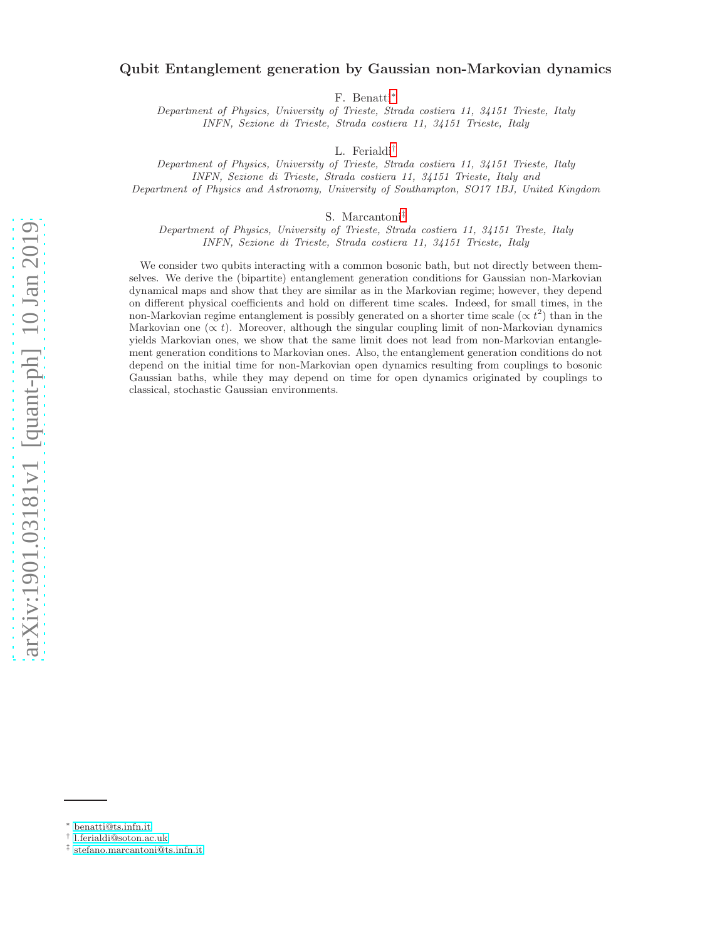# Qubit Entanglement generation by Gaussian non-Markovian dynamics

F. Benatti[∗](#page-0-0)

Department of Physics, University of Trieste, Strada costiera 11, 34151 Trieste, Italy INFN, Sezione di Trieste, Strada costiera 11, 34151 Trieste, Italy

L. Ferialdi[†](#page-0-1)

Department of Physics, University of Trieste, Strada costiera 11, 34151 Trieste, Italy INFN, Sezione di Trieste, Strada costiera 11, 34151 Trieste, Italy and Department of Physics and Astronomy, University of Southampton, SO17 1BJ, United Kingdom

S. Marcantoni[‡](#page-0-2)

Department of Physics, University of Trieste, Strada costiera 11, 34151 Treste, Italy INFN, Sezione di Trieste, Strada costiera 11, 34151 Trieste, Italy

We consider two qubits interacting with a common bosonic bath, but not directly between themselves. We derive the (bipartite) entanglement generation conditions for Gaussian non-Markovian dynamical maps and show that they are similar as in the Markovian regime; however, they depend on different physical coefficients and hold on different time scales. Indeed, for small times, in the non-Markovian regime entanglement is possibly generated on a shorter time scale  $(\propto t^2)$  than in the Markovian one  $(\propto t)$ . Moreover, although the singular coupling limit of non-Markovian dynamics yields Markovian ones, we show that the same limit does not lead from non-Markovian entanglement generation conditions to Markovian ones. Also, the entanglement generation conditions do not depend on the initial time for non-Markovian open dynamics resulting from couplings to bosonic Gaussian baths, while they may depend on time for open dynamics originated by couplings to classical, stochastic Gaussian environments.

<span id="page-0-0"></span><sup>∗</sup> [benatti@ts.infn.it](mailto:benatti@ts.infn.it)

<span id="page-0-1"></span><sup>†</sup> [l.ferialdi@soton.ac.uk](mailto:l.ferialdi@soton.ac.uk)

<span id="page-0-2"></span><sup>‡</sup> [stefano.marcantoni@ts.infn.it](mailto:stefano.marcantoni@ts.infn.it)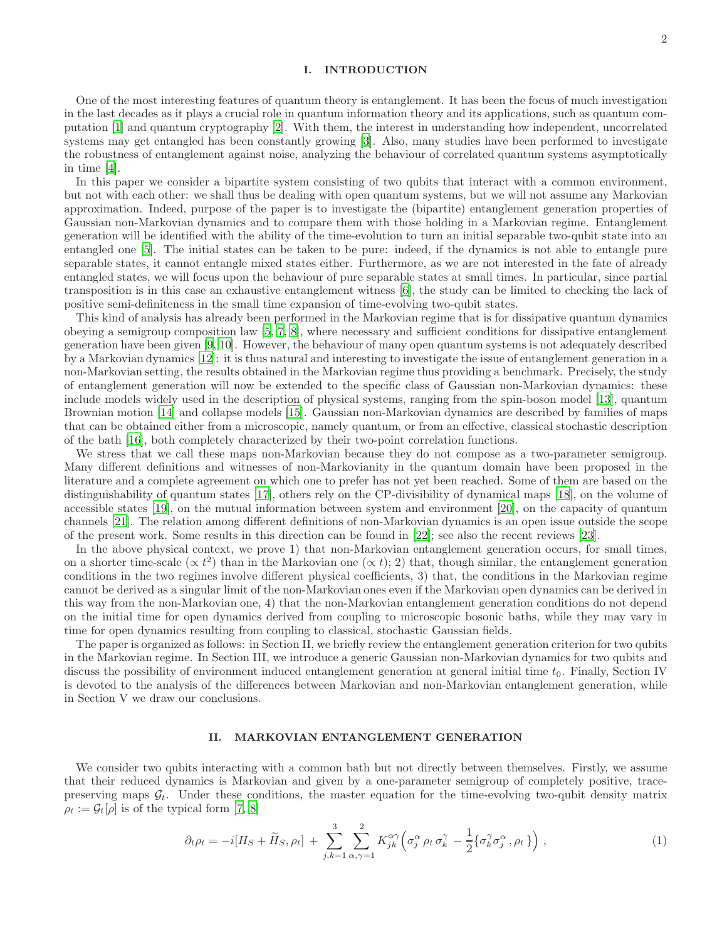#### I. INTRODUCTION

One of the most interesting features of quantum theory is entanglement. It has been the focus of much investigation in the last decades as it plays a crucial role in quantum information theory and its applications, such as quantum computation [\[1\]](#page-11-0) and quantum cryptography [\[2\]](#page-11-1). With them, the interest in understanding how independent, uncorrelated systems may get entangled has been constantly growing [\[3](#page-11-2)]. Also, many studies have been performed to investigate the robustness of entanglement against noise, analyzing the behaviour of correlated quantum systems asymptotically in time [\[4](#page-11-3)].

In this paper we consider a bipartite system consisting of two qubits that interact with a common environment, but not with each other: we shall thus be dealing with open quantum systems, but we will not assume any Markovian approximation. Indeed, purpose of the paper is to investigate the (bipartite) entanglement generation properties of Gaussian non-Markovian dynamics and to compare them with those holding in a Markovian regime. Entanglement generation will be identified with the ability of the time-evolution to turn an initial separable two-qubit state into an entangled one [\[5](#page-11-4)]. The initial states can be taken to be pure: indeed, if the dynamics is not able to entangle pure separable states, it cannot entangle mixed states either. Furthermore, as we are not interested in the fate of already entangled states, we will focus upon the behaviour of pure separable states at small times. In particular, since partial transposition is in this case an exhaustive entanglement witness [\[6](#page-11-5)], the study can be limited to checking the lack of positive semi-definiteness in the small time expansion of time-evolving two-qubit states.

This kind of analysis has already been performed in the Markovian regime that is for dissipative quantum dynamics obeying a semigroup composition law [\[5,](#page-11-4) [7](#page-11-6), [8\]](#page-11-7), where necessary and sufficient conditions for dissipative entanglement generation have been given [\[9,](#page-11-8) [10\]](#page-11-9). However, the behaviour of many open quantum systems is not adequately described by a Markovian dynamics [\[12\]](#page-11-10): it is thus natural and interesting to investigate the issue of entanglement generation in a non-Markovian setting, the results obtained in the Markovian regime thus providing a benchmark. Precisely, the study of entanglement generation will now be extended to the specific class of Gaussian non-Markovian dynamics: these include models widely used in the description of physical systems, ranging from the spin-boson model [\[13\]](#page-11-11), quantum Brownian motion [\[14](#page-11-12)] and collapse models [\[15](#page-11-13)]. Gaussian non-Markovian dynamics are described by families of maps that can be obtained either from a microscopic, namely quantum, or from an effective, classical stochastic description of the bath [\[16\]](#page-11-14), both completely characterized by their two-point correlation functions.

We stress that we call these maps non-Markovian because they do not compose as a two-parameter semigroup. Many different definitions and witnesses of non-Markovianity in the quantum domain have been proposed in the literature and a complete agreement on which one to prefer has not yet been reached. Some of them are based on the distinguishability of quantum states [\[17\]](#page-11-15), others rely on the CP-divisibility of dynamical maps [\[18\]](#page-11-16), on the volume of accessible states [\[19\]](#page-11-17), on the mutual information between system and environment [\[20\]](#page-11-18), on the capacity of quantum channels [\[21\]](#page-11-19). The relation among different definitions of non-Markovian dynamics is an open issue outside the scope of the present work. Some results in this direction can be found in [\[22](#page-11-20)]; see also the recent reviews [\[23](#page-11-21)].

In the above physical context, we prove 1) that non-Markovian entanglement generation occurs, for small times, on a shorter time-scale ( $\propto t^2$ ) than in the Markovian one ( $\propto t$ ); 2) that, though similar, the entanglement generation conditions in the two regimes involve different physical coefficients, 3) that, the conditions in the Markovian regime cannot be derived as a singular limit of the non-Markovian ones even if the Markovian open dynamics can be derived in this way from the non-Markovian one, 4) that the non-Markovian entanglement generation conditions do not depend on the initial time for open dynamics derived from coupling to microscopic bosonic baths, while they may vary in time for open dynamics resulting from coupling to classical, stochastic Gaussian fields.

The paper is organized as follows: in Section II, we briefly review the entanglement generation criterion for two qubits in the Markovian regime. In Section III, we introduce a generic Gaussian non-Markovian dynamics for two qubits and discuss the possibility of environment induced entanglement generation at general initial time  $t_0$ . Finally, Section IV is devoted to the analysis of the differences between Markovian and non-Markovian entanglement generation, while in Section V we draw our conclusions.

#### II. MARKOVIAN ENTANGLEMENT GENERATION

We consider two qubits interacting with a common bath but not directly between themselves. Firstly, we assume that their reduced dynamics is Markovian and given by a one-parameter semigroup of completely positive, tracepreserving maps  $\mathcal{G}_t$ . Under these conditions, the master equation for the time-evolving two-qubit density matrix  $\rho_t := \mathcal{G}_t[\rho]$  is of the typical form [\[7,](#page-11-6) [8\]](#page-11-7)

<span id="page-1-0"></span>
$$
\partial_t \rho_t = -i[H_S + \widetilde{H}_S, \rho_t] + \sum_{j,k=1}^3 \sum_{\alpha,\gamma=1}^2 K_{jk}^{\alpha\gamma} \left( \sigma_j^{\alpha} \rho_t \sigma_k^{\gamma} - \frac{1}{2} \{ \sigma_k^{\gamma} \sigma_j^{\alpha} , \rho_t \} \right), \qquad (1)
$$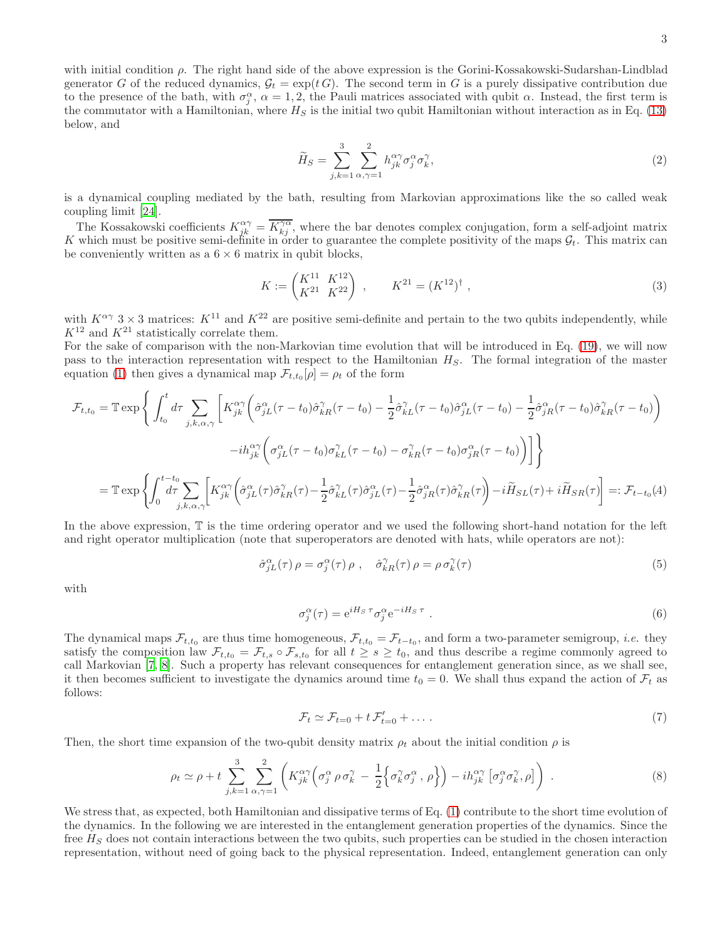3

with initial condition  $\rho$ . The right hand side of the above expression is the Gorini-Kossakowski-Sudarshan-Lindblad generator G of the reduced dynamics,  $\mathcal{G}_t = \exp(t G)$ . The second term in G is a purely dissipative contribution due to the presence of the bath, with  $\sigma_j^{\alpha}$ ,  $\alpha = 1, 2$ , the Pauli matrices associated with qubit  $\alpha$ . Instead, the first term is the commutator with a Hamiltonian, where  $H_S$  is the initial two qubit Hamiltonian without interaction as in Eq. [\(13\)](#page-4-0) below, and

$$
\widetilde{H}_S = \sum_{j,k=1}^3 \sum_{\alpha,\gamma=1}^2 h_{jk}^{\alpha\gamma} \sigma_j^{\alpha} \sigma_k^{\gamma},\tag{2}
$$

is a dynamical coupling mediated by the bath, resulting from Markovian approximations like the so called weak coupling limit [\[24](#page-11-22)].

The Kossakowski coefficients  $K_{jk}^{\alpha\gamma} = \overline{K_{kj}^{\gamma\alpha}}$ , where the bar denotes complex conjugation, form a self-adjoint matrix K which must be positive semi-definite in order to guarantee the complete positivity of the maps  $\mathcal{G}_t$ . This matrix can be conveniently written as a  $6 \times 6$  matrix in qubit blocks,

<span id="page-2-1"></span>
$$
K := \begin{pmatrix} K^{11} & K^{12} \\ K^{21} & K^{22} \end{pmatrix} , \qquad K^{21} = (K^{12})^{\dagger} , \qquad (3)
$$

with  $K^{\alpha\gamma}$  3 × 3 matrices:  $K^{11}$  and  $K^{22}$  are positive semi-definite and pertain to the two qubits independently, while  $K^{12}$  and  $K^{21}$  statistically correlate them.

For the sake of comparison with the non-Markovian time evolution that will be introduced in Eq. [\(19\)](#page-4-1), we will now pass to the interaction representation with respect to the Hamiltonian  $H<sub>S</sub>$ . The formal integration of the master equation [\(1\)](#page-1-0) then gives a dynamical map  $\mathcal{F}_{t,t_0}[\rho] = \rho_t$  of the form

<span id="page-2-3"></span>
$$
\mathcal{F}_{t,t_0} = \mathbb{T} \exp \left\{ \int_{t_0}^t d\tau \sum_{j,k,\alpha,\gamma} \left[ K_{jk}^{\alpha\gamma} \left( \hat{\sigma}_{jL}^{\alpha}(\tau - t_0) \hat{\sigma}_{kR}^{\gamma}(\tau - t_0) - \frac{1}{2} \hat{\sigma}_{kL}^{\gamma}(\tau - t_0) \hat{\sigma}_{jL}^{\alpha}(\tau - t_0) - \frac{1}{2} \hat{\sigma}_{jR}^{\alpha}(\tau - t_0) \hat{\sigma}_{kR}^{\gamma}(\tau - t_0) \right) \right] \right\}
$$

$$
-i h_{jk}^{\alpha\gamma} \left( \sigma_{jL}^{\alpha}(\tau - t_0) \sigma_{kL}^{\gamma}(\tau - t_0) - \sigma_{kR}^{\gamma}(\tau - t_0) \sigma_{jR}^{\alpha}(\tau - t_0) \right) \right] \Big\}
$$

$$
= \mathbb{T} \exp \left\{ \int_{0}^{t-t_0} \sum_{j,k,\alpha,\gamma} \left[ K_{jk}^{\alpha\gamma} \left( \hat{\sigma}_{jL}^{\alpha}(\tau) \hat{\sigma}_{kR}^{\gamma}(\tau) - \frac{1}{2} \hat{\sigma}_{kL}^{\gamma}(\tau) \hat{\sigma}_{jL}^{\alpha}(\tau) - \frac{1}{2} \hat{\sigma}_{jR}^{\alpha}(\tau) \hat{\sigma}_{kR}^{\gamma}(\tau) \right) - i \tilde{H}_{SL}(\tau) + i \tilde{H}_{SR}(\tau) \right] =: \mathcal{F}_{t-t_0}(4)
$$

In the above expression, T is the time ordering operator and we used the following short-hand notation for the left and right operator multiplication (note that superoperators are denoted with hats, while operators are not):

$$
\hat{\sigma}_{jL}^{\alpha}(\tau)\rho = \sigma_j^{\alpha}(\tau)\rho\ ,\quad \hat{\sigma}_{kR}^{\gamma}(\tau)\rho = \rho\,\sigma_k^{\gamma}(\tau)
$$
\n(5)

with

<span id="page-2-2"></span>
$$
\sigma_j^{\alpha}(\tau) = e^{iH_S \tau} \sigma_j^{\alpha} e^{-iH_S \tau} . \tag{6}
$$

The dynamical maps  $\mathcal{F}_{t,t_0}$  are thus time homogeneous,  $\mathcal{F}_{t,t_0} = \mathcal{F}_{t-t_0}$ , and form a two-parameter semigroup, *i.e.* they satisfy the composition law  $\mathcal{F}_{t,t_0} = \mathcal{F}_{t,s} \circ \mathcal{F}_{s,t_0}$  for all  $t \geq s \geq t_0$ , and thus describe a regime commonly agreed to call Markovian [\[7](#page-11-6), [8](#page-11-7)]. Such a property has relevant consequences for entanglement generation since, as we shall see, it then becomes sufficient to investigate the dynamics around time  $t_0 = 0$ . We shall thus expand the action of  $\mathcal{F}_t$  as follows:

$$
\mathcal{F}_t \simeq \mathcal{F}_{t=0} + t \mathcal{F}'_{t=0} + \dots \tag{7}
$$

Then, the short time expansion of the two-qubit density matrix  $\rho_t$  about the initial condition  $\rho$  is

<span id="page-2-0"></span>
$$
\rho_t \simeq \rho + t \sum_{j,k=1}^3 \sum_{\alpha,\gamma=1}^2 \left( K_{jk}^{\alpha\gamma} \left( \sigma_j^{\alpha} \rho \sigma_k^{\gamma} - \frac{1}{2} \left\{ \sigma_k^{\gamma} \sigma_j^{\alpha} , \rho \right\} \right) - i h_{jk}^{\alpha\gamma} \left[ \sigma_j^{\alpha} \sigma_k^{\gamma} , \rho \right] \right) . \tag{8}
$$

We stress that, as expected, both Hamiltonian and dissipative terms of Eq. [\(1\)](#page-1-0) contribute to the short time evolution of the dynamics. In the following we are interested in the entanglement generation properties of the dynamics. Since the free  $H<sub>S</sub>$  does not contain interactions between the two qubits, such properties can be studied in the chosen interaction representation, without need of going back to the physical representation. Indeed, entanglement generation can only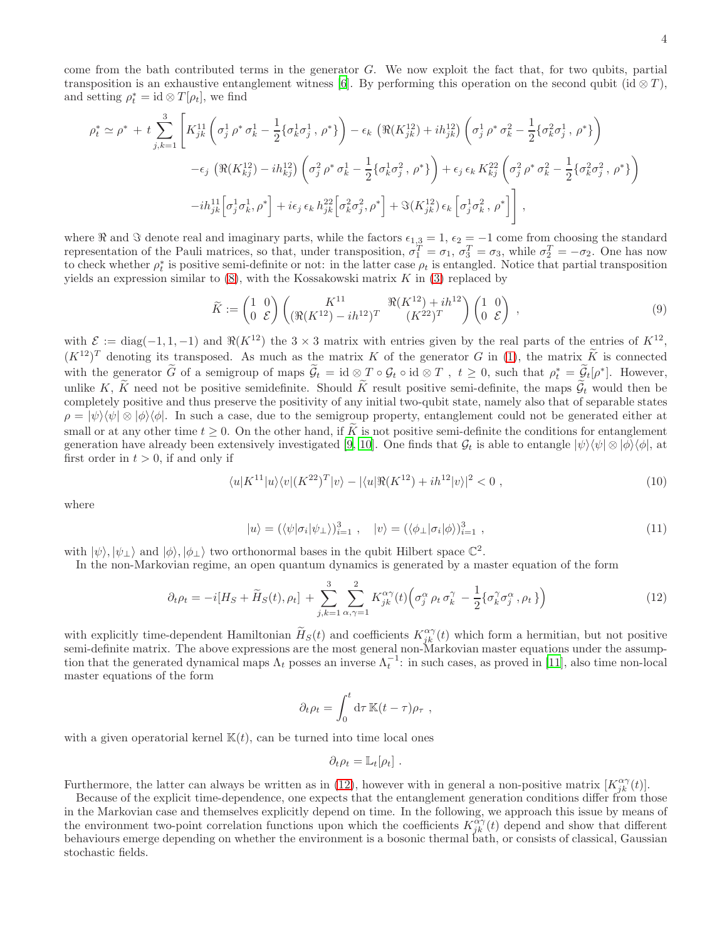come from the bath contributed terms in the generator  $G$ . We now exploit the fact that, for two qubits, partial transposition is an exhaustive entanglement witness [\[6](#page-11-5)]. By performing this operation on the second qubit (id  $\otimes T$ ), and setting  $\rho_t^* = \text{id} \otimes T[\rho_t]$ , we find

$$
\rho_t^* \simeq \rho^* + t \sum_{j,k=1}^3 \left[ K_{jk}^{11} \left( \sigma_j^1 \rho^* \sigma_k^1 - \frac{1}{2} \{ \sigma_k^1 \sigma_j^1, \rho^* \} \right) - \epsilon_k \left( \Re(K_{jk}^{12}) + ih_{jk}^{12} \right) \left( \sigma_j^1 \rho^* \sigma_k^2 - \frac{1}{2} \{ \sigma_k^2 \sigma_j^1, \rho^* \} \right) \right]
$$
  

$$
- \epsilon_j \left( \Re(K_{kj}^{12}) - ih_{kj}^{12} \right) \left( \sigma_j^2 \rho^* \sigma_k^1 - \frac{1}{2} \{ \sigma_k^1 \sigma_j^2, \rho^* \} \right) + \epsilon_j \epsilon_k K_{kj}^{22} \left( \sigma_j^2 \rho^* \sigma_k^2 - \frac{1}{2} \{ \sigma_k^2 \sigma_j^2, \rho^* \} \right)
$$
  

$$
- ih_{jk}^{11} \left[ \sigma_j^1 \sigma_k^1, \rho^* \right] + i \epsilon_j \epsilon_k h_{jk}^{22} \left[ \sigma_k^2 \sigma_j^2, \rho^* \right] + \Im(K_{jk}^{12}) \epsilon_k \left[ \sigma_j^1 \sigma_k^2, \rho^* \right] \right],
$$

where  $\Re$  and  $\Im$  denote real and imaginary parts, while the factors  $\epsilon_{1,3} = 1$ ,  $\epsilon_2 = -1$  come from choosing the standard representation of the Pauli matrices, so that, under transposition,  $\sigma_1^T = \sigma_1$ ,  $\sigma_3^T = \sigma_3$ , while  $\sigma_2^T = -\sigma_2$ . One has now to check whether  $\rho_t^*$  is positive semi-definite or not: in the latter case  $\rho_t$  is entangled. Notice that partial transposition yields an expression similar to  $(8)$ , with the Kossakowski matrix K in  $(3)$  replaced by

<span id="page-3-1"></span>
$$
\widetilde{K} := \begin{pmatrix} 1 & 0 \\ 0 & \mathcal{E} \end{pmatrix} \begin{pmatrix} K^{11} & \Re(K^{12}) + ih^{12} \\ (\Re(K^{12}) - ih^{12})^T & (K^{22})^T \end{pmatrix} \begin{pmatrix} 1 & 0 \\ 0 & \mathcal{E} \end{pmatrix} ,
$$
\n(9)

with  $\mathcal{E} := \text{diag}(-1, 1, -1)$  and  $\Re(K^{12})$  the  $3 \times 3$  matrix with entries given by the real parts of the entries of  $K^{12}$ ,  $(K^{12})^T$  denoting its transposed. As much as the matrix K of the generator G in [\(1\)](#page-1-0), the matrix  $\tilde{K}$  is connected with the generator  $\tilde{G}$  of a semigroup of maps  $\tilde{\mathcal{G}}_t = id \otimes T \circ \mathcal{G}_t \circ id \otimes T$ ,  $t \geq 0$ , such that  $\rho_t^* = \tilde{\mathcal{G}}_t[\rho^*]$ . However, unlike K,  $\tilde{K}$  need not be positive semidefinite. Should  $\tilde{K}$  result positive semi-definite, the maps  $\tilde{\mathcal{G}}_t$  would then be completely positive and thus preserve the positivity of any initial two-qubit state, namely also that of separable states  $\rho = |\psi\rangle\langle\psi| \otimes |\phi\rangle\langle\phi|$ . In such a case, due to the semigroup property, entanglement could not be generated either at small or at any other time  $t \geq 0$ . On the other hand, if  $\widetilde{K}$  is not positive semi-definite the conditions for entanglement generation have already been extensively investigated [\[9](#page-11-8), [10](#page-11-9)]. One finds that  $\mathcal{G}_t$  is able to entangle  $|\psi\rangle\langle\psi| \otimes |\phi\rangle\langle\phi|$ , at first order in  $t > 0$ , if and only if

<span id="page-3-2"></span>
$$
\langle u|K^{11}|u\rangle\langle v|(K^{22})^T|v\rangle - |\langle u|\Re(K^{12}) + ih^{12}|v\rangle|^2 < 0 \,,\tag{10}
$$

where

$$
|u\rangle = (\langle \psi|\sigma_i|\psi_{\perp}\rangle)_{i=1}^3 \ , \quad |v\rangle = (\langle \phi_{\perp}|\sigma_i|\phi\rangle)_{i=1}^3 \ , \tag{11}
$$

with  $|\psi\rangle, |\psi_{\perp}\rangle$  and  $|\phi\rangle, |\phi_{\perp}\rangle$  two orthonormal bases in the qubit Hilbert space  $\mathbb{C}^2$ .

In the non-Markovian regime, an open quantum dynamics is generated by a master equation of the form

<span id="page-3-0"></span>
$$
\partial_t \rho_t = -i[H_S + \widetilde{H}_S(t), \rho_t] + \sum_{j,k=1}^3 \sum_{\alpha,\gamma=1}^2 K_{jk}^{\alpha\gamma}(t) \Big( \sigma_j^{\alpha} \rho_t \sigma_k^{\gamma} - \frac{1}{2} \{ \sigma_k^{\gamma} \sigma_j^{\alpha}, \rho_t \} \Big)
$$
(12)

with explicitly time-dependent Hamiltonian  $\widetilde{H}_S(t)$  and coefficients  $K_{jk}^{\alpha\gamma}(t)$  which form a hermitian, but not positive semi-definite matrix. The above expressions are the most general non-Markovian master equations under the assumption that the generated dynamical maps  $\Lambda_t$  posses an inverse  $\Lambda_t^{-1}$ : in such cases, as proved in [\[11](#page-11-23)], also time non-local master equations of the form

$$
\partial_t \rho_t = \int_0^t d\tau \, \mathbb{K}(t-\tau) \rho_\tau ,
$$

with a given operatorial kernel  $\mathbb{K}(t)$ , can be turned into time local ones

$$
\partial_t \rho_t = \mathbb{L}_t[\rho_t] .
$$

Furthermore, the latter can always be written as in [\(12\)](#page-3-0), however with in general a non-positive matrix  $[K_{jk}^{\alpha\gamma}(t)]$ .

Because of the explicit time-dependence, one expects that the entanglement generation conditions differ from those in the Markovian case and themselves explicitly depend on time. In the following, we approach this issue by means of the environment two-point correlation functions upon which the coefficients  $K_{jk}^{\alpha\gamma}(t)$  depend and show that different behaviours emerge depending on whether the environment is a bosonic thermal bath, or consists of classical, Gaussian stochastic fields.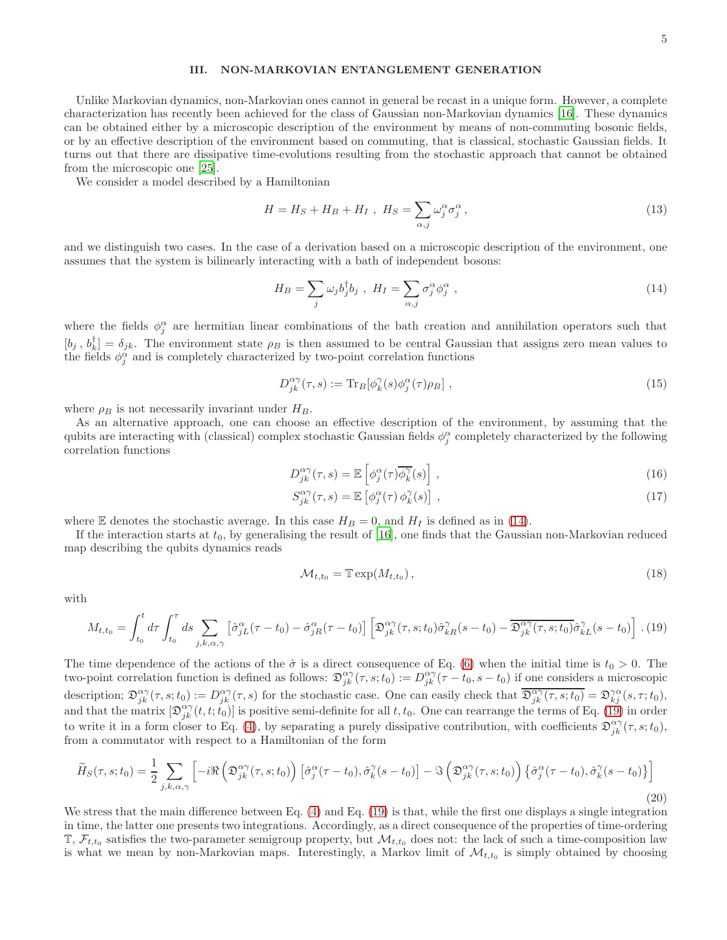### III. NON-MARKOVIAN ENTANGLEMENT GENERATION

Unlike Markovian dynamics, non-Markovian ones cannot in general be recast in a unique form. However, a complete characterization has recently been achieved for the class of Gaussian non-Markovian dynamics [\[16](#page-11-14)]. These dynamics can be obtained either by a microscopic description of the environment by means of non-commuting bosonic fields, or by an effective description of the environment based on commuting, that is classical, stochastic Gaussian fields. It turns out that there are dissipative time-evolutions resulting from the stochastic approach that cannot be obtained from the microscopic one [\[25\]](#page-11-24).

We consider a model described by a Hamiltonian

<span id="page-4-0"></span>
$$
H = H_S + H_B + H_I \ , \ H_S = \sum_{\alpha,j} \omega_j^{\alpha} \sigma_j^{\alpha} \,, \tag{13}
$$

and we distinguish two cases. In the case of a derivation based on a microscopic description of the environment, one assumes that the system is bilinearly interacting with a bath of independent bosons:

<span id="page-4-2"></span>
$$
H_B = \sum_j \omega_j b_j^{\dagger} b_j \ , \ H_I = \sum_{\alpha, j} \sigma_j^{\alpha} \phi_j^{\alpha} \ , \tag{14}
$$

where the fields  $\phi_j^{\alpha}$  are hermitian linear combinations of the bath creation and annihilation operators such that  $[b_j, b_k^{\dagger}] = \delta_{jk}$ . The environment state  $\rho_B$  is then assumed to be central Gaussian that assigns zero mean values to the fields  $\phi_j^{\alpha}$  and is completely characterized by two-point correlation functions

$$
D_{jk}^{\alpha\gamma}(\tau,s) := \text{Tr}_B[\phi_k^{\gamma}(s)\phi_j^{\alpha}(\tau)\rho_B], \qquad (15)
$$

where  $\rho_B$  is not necessarily invariant under  $H_B$ .

As an alternative approach, one can choose an effective description of the environment, by assuming that the qubits are interacting with (classical) complex stochastic Gaussian fields  $\phi_j^{\alpha}$  completely characterized by the following correlation functions

<span id="page-4-4"></span>
$$
D_{jk}^{\alpha\gamma}(\tau,s) = \mathbb{E}\left[\phi_j^{\alpha}(\tau)\overline{\phi_k^{\gamma}}(s)\right],\tag{16}
$$

$$
S_{jk}^{\alpha\gamma}(\tau,s) = \mathbb{E}\left[\phi_j^{\alpha}(\tau)\,\phi_k^{\gamma}(s)\right] \,,\tag{17}
$$

where E denotes the stochastic average. In this case  $H_B = 0$ , and  $H_I$  is defined as in [\(14\)](#page-4-2).

If the interaction starts at  $t_0$ , by generalising the result of [\[16](#page-11-14)], one finds that the Gaussian non-Markovian reduced map describing the qubits dynamics reads

<span id="page-4-5"></span>
$$
\mathcal{M}_{t,t_0} = \mathbb{T} \exp(M_{t,t_0}), \qquad (18)
$$

with

<span id="page-4-1"></span>
$$
M_{t,t_0} = \int_{t_0}^t d\tau \int_{t_0}^{\tau} ds \sum_{j,k,\alpha,\gamma} \left[ \hat{\sigma}_{jL}^{\alpha}(\tau - t_0) - \hat{\sigma}_{jR}^{\alpha}(\tau - t_0) \right] \left[ \mathfrak{D}_{jk}^{\alpha\gamma}(\tau,s;t_0) \hat{\sigma}_{kR}^{\gamma}(s - t_0) - \overline{\mathfrak{D}_{jk}^{\alpha\gamma}(\tau,s;t_0)} \hat{\sigma}_{kL}^{\gamma}(s - t_0) \right].
$$
 (19)

The time dependence of the actions of the  $\hat{\sigma}$  is a direct consequence of Eq. [\(6\)](#page-2-2) when the initial time is  $t_0 > 0$ . The two-point correlation function is defined as follows:  $\mathfrak{D}_{jk}^{\alpha\gamma}(\tau, s; t_0) := D_{jk}^{\alpha\gamma}(\tau - t_0, s - t_0)$  if one considers a microscopic description;  $\mathfrak{D}_{jk}^{\alpha\gamma}(\tau,s;t_0) := D_{jk}^{\alpha\gamma}(\tau,s)$  for the stochastic case. One can easily check that  $\overline{\mathfrak{D}_{jk}^{\alpha\gamma}(\tau,s;t_0)} = \mathfrak{D}_{kj}^{\gamma\alpha}(s,\tau;t_0)$ , and that the matrix  $[\mathfrak{D}_{jk}^{\alpha\gamma}(t,t;t_0)]$  is positive semi-definite for all  $t,t_0$ . One can rearrange the terms of Eq. [\(19\)](#page-4-1) in order to write it in a form closer to Eq. [\(4\)](#page-2-3), by separating a purely dissipative contribution, with coefficients  $\mathfrak{D}_{jk}^{\alpha\gamma}(\tau,s;t_0)$ , from a commutator with respect to a Hamiltonian of the form

<span id="page-4-3"></span>
$$
\widetilde{H}_{S}(\tau,s;t_{0}) = \frac{1}{2} \sum_{j,k,\alpha,\gamma} \left[ -i \Re \left( \mathfrak{D}_{jk}^{\alpha\gamma}(\tau,s;t_{0}) \right) \left[ \hat{\sigma}_{j}^{\alpha}(\tau-t_{0}), \hat{\sigma}_{k}^{\gamma}(s-t_{0}) \right] - \Im \left( \mathfrak{D}_{jk}^{\alpha\gamma}(\tau,s;t_{0}) \right) \left\{ \hat{\sigma}_{j}^{\alpha}(\tau-t_{0}), \hat{\sigma}_{k}^{\gamma}(s-t_{0}) \right\} \right]
$$
\n(20)

We stress that the main difference between Eq. [\(4\)](#page-2-3) and Eq. [\(19\)](#page-4-1) is that, while the first one displays a single integration in time, the latter one presents two integrations. Accordingly, as a direct consequence of the properties of time-ordering  $\mathbb{T}, \mathcal{F}_{t,t_0}$  satisfies the two-parameter semigroup property, but  $\mathcal{M}_{t,t_0}$  does not: the lack of such a time-composition law is what we mean by non-Markovian maps. Interestingly, a Markov limit of  $\mathcal{M}_{t,t_0}$  is simply obtained by choosing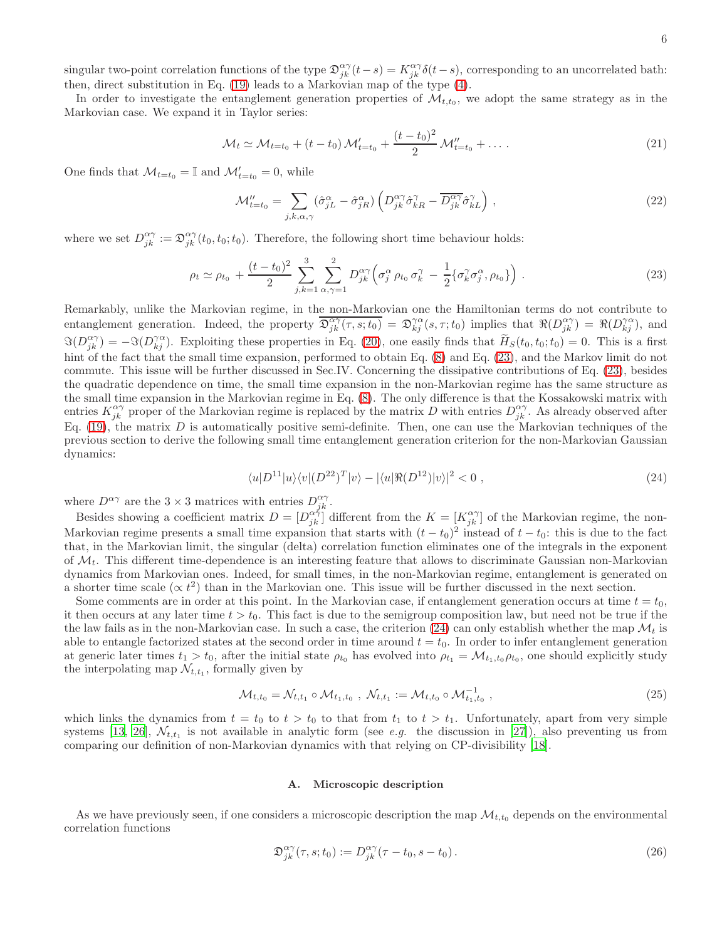singular two-point correlation functions of the type  $\mathfrak{D}_{jk}^{\alpha\gamma}(t-s) = K_{jk}^{\alpha\gamma}\delta(t-s)$ , corresponding to an uncorrelated bath: then, direct substitution in Eq. [\(19\)](#page-4-1) leads to a Markovian map of the type [\(4\)](#page-2-3).

In order to investigate the entanglement generation properties of  $\mathcal{M}_{t,t_0}$ , we adopt the same strategy as in the Markovian case. We expand it in Taylor series:

<span id="page-5-3"></span>
$$
\mathcal{M}_t \simeq \mathcal{M}_{t=t_0} + (t - t_0) \, \mathcal{M}'_{t=t_0} + \frac{(t - t_0)^2}{2} \, \mathcal{M}''_{t=t_0} + \dots \, . \tag{21}
$$

One finds that  $\mathcal{M}_{t=t_0} = \mathbb{I}$  and  $\mathcal{M}'_{t=t_0} = 0$ , while

$$
\mathcal{M}_{t=t_0}^{\prime\prime} = \sum_{j,k,\alpha,\gamma} (\hat{\sigma}_{jL}^{\alpha} - \hat{\sigma}_{jR}^{\alpha}) \left( D_{jk}^{\alpha\gamma} \hat{\sigma}_{kR}^{\gamma} - \overline{D_{jk}^{\alpha\gamma}} \hat{\sigma}_{kL}^{\gamma} \right) , \qquad (22)
$$

where we set  $D_{jk}^{\alpha\gamma} := \mathfrak{D}_{jk}^{\alpha\gamma}(t_0, t_0; t_0)$ . Therefore, the following short time behaviour holds:

<span id="page-5-0"></span>
$$
\rho_t \simeq \rho_{t_0} + \frac{(t - t_0)^2}{2} \sum_{j,k=1}^3 \sum_{\alpha,\gamma=1}^2 D_{jk}^{\alpha\gamma} \left( \sigma_j^{\alpha} \rho_{t_0} \sigma_k^{\gamma} - \frac{1}{2} \{ \sigma_k^{\gamma} \sigma_j^{\alpha}, \rho_{t_0} \} \right). \tag{23}
$$

Remarkably, unlike the Markovian regime, in the non-Markovian one the Hamiltonian terms do not contribute to entanglement generation. Indeed, the property  $\overline{\mathfrak{D}_{jk}^{\alpha\gamma}(\tau,s;t_0)} = \mathfrak{D}_{kj}^{\gamma\alpha}(s,\tau;t_0)$  implies that  $\Re(D_{jk}^{\alpha\gamma}) = \Re(D_{kj}^{\gamma\alpha})$ , and  $\Im(D_{jk}^{\alpha\gamma}) = -\Im(D_{kj}^{\gamma\alpha})$ . Exploiting these properties in Eq. [\(20\)](#page-4-3), one easily finds that  $\widetilde{H}_S(t_0, t_0; t_0) = 0$ . This is a first hint of the fact that the small time expansion, performed to obtain Eq.  $(8)$  and Eq.  $(23)$ , and the Markov limit do not commute. This issue will be further discussed in Sec.IV. Concerning the dissipative contributions of Eq. [\(23\)](#page-5-0), besides the quadratic dependence on time, the small time expansion in the non-Markovian regime has the same structure as the small time expansion in the Markovian regime in Eq. [\(8\)](#page-2-0). The only difference is that the Kossakowski matrix with entries  $K_{jk}^{\alpha\gamma}$  proper of the Markovian regime is replaced by the matrix D with entries  $D_{jk}^{\alpha\gamma}$ . As already observed after Eq.  $(19)$ , the matrix D is automatically positive semi-definite. Then, one can use the Markovian techniques of the previous section to derive the following small time entanglement generation criterion for the non-Markovian Gaussian dynamics:

<span id="page-5-1"></span>
$$
\langle u|D^{11}|u\rangle\langle v|(D^{22})^T|v\rangle - |\langle u|\Re(D^{12})|v\rangle|^2 < 0 \tag{24}
$$

where  $D^{\alpha\gamma}$  are the  $3 \times 3$  matrices with entries  $D^{\alpha\gamma}_{jk}$ .

Besides showing a coefficient matrix  $D = [D_{jk}^{\alpha\gamma}]$  different from the  $K = [K_{jk}^{\alpha\gamma}]$  of the Markovian regime, the non-Markovian regime presents a small time expansion that starts with  $(t - t_0)^2$  instead of  $t - t_0$ : this is due to the fact that, in the Markovian limit, the singular (delta) correlation function eliminates one of the integrals in the exponent of  $\mathcal{M}_t$ . This different time-dependence is an interesting feature that allows to discriminate Gaussian non-Markovian dynamics from Markovian ones. Indeed, for small times, in the non-Markovian regime, entanglement is generated on a shorter time scale  $(\propto t^2)$  than in the Markovian one. This issue will be further discussed in the next section.

Some comments are in order at this point. In the Markovian case, if entanglement generation occurs at time  $t = t_0$ , it then occurs at any later time  $t > t_0$ . This fact is due to the semigroup composition law, but need not be true if the the law fails as in the non-Markovian case. In such a case, the criterion [\(24\)](#page-5-1) can only establish whether the map  $\mathcal{M}_t$  is able to entangle factorized states at the second order in time around  $t = t_0$ . In order to infer entanglement generation at generic later times  $t_1 > t_0$ , after the initial state  $\rho_{t_0}$  has evolved into  $\rho_{t_1} = \mathcal{M}_{t_1,t_0} \rho_{t_0}$ , one should explicitly study the interpolating map  $\mathcal{N}_{t,t_1}$ , formally given by

$$
\mathcal{M}_{t,t_0} = \mathcal{N}_{t,t_1} \circ \mathcal{M}_{t_1,t_0} , \ \mathcal{N}_{t,t_1} := \mathcal{M}_{t,t_0} \circ \mathcal{M}_{t_1,t_0}^{-1} , \tag{25}
$$

which links the dynamics from  $t = t_0$  to  $t > t_0$  to that from  $t_1$  to  $t > t_1$ . Unfortunately, apart from very simple systems [\[13,](#page-11-11) [26](#page-11-25)],  $\mathcal{N}_{t,t_1}$  is not available in analytic form (see *e.g.* the discussion in [\[27\]](#page-11-26)), also preventing us from comparing our definition of non-Markovian dynamics with that relying on CP-divisibility [\[18](#page-11-16)].

#### A. Microscopic description

As we have previously seen, if one considers a microscopic description the map  $\mathcal{M}_{t,t_0}$  depends on the environmental correlation functions

<span id="page-5-2"></span>
$$
\mathfrak{D}_{jk}^{\alpha\gamma}(\tau,s;t_0) := D_{jk}^{\alpha\gamma}(\tau - t_0, s - t_0).
$$
\n(26)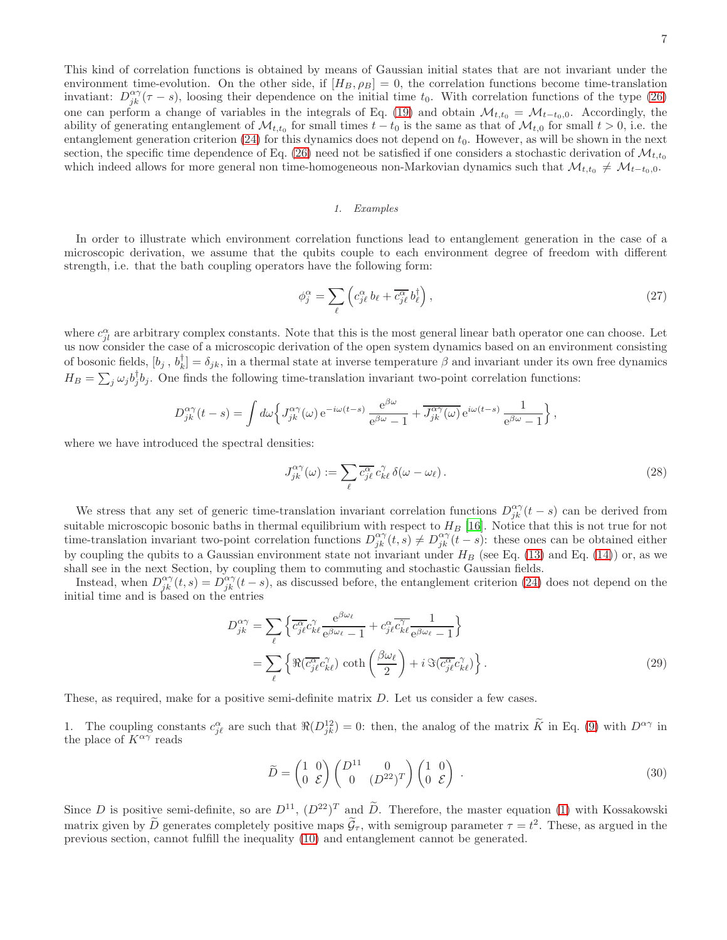This kind of correlation functions is obtained by means of Gaussian initial states that are not invariant under the environment time-evolution. On the other side, if  $[H_B, \rho_B] = 0$ , the correlation functions become time-translation invatiant:  $D_{jk}^{\alpha\gamma}(\tau-s)$ , loosing their dependence on the initial time  $t_0$ . With correlation functions of the type [\(26\)](#page-5-2) one can perform a change of variables in the integrals of Eq. [\(19\)](#page-4-1) and obtain  $\mathcal{M}_{t,t_0} = \mathcal{M}_{t-t_0,0}$ . Accordingly, the ability of generating entanglement of  $\mathcal{M}_{t,t_0}$  for small times  $t-t_0$  is the same as that of  $\mathcal{M}_{t,0}$  for small  $t > 0$ , i.e. the entanglement generation criterion  $(24)$  for this dynamics does not depend on  $t_0$ . However, as will be shown in the next section, the specific time dependence of Eq. [\(26\)](#page-5-2) need not be satisfied if one considers a stochastic derivation of  $\mathcal{M}_{t,t_0}$ which indeed allows for more general non time-homogeneous non-Markovian dynamics such that  $\mathcal{M}_{t,t_0} \neq \mathcal{M}_{t-t_0,0}$ .

### 1. Examples

In order to illustrate which environment correlation functions lead to entanglement generation in the case of a microscopic derivation, we assume that the qubits couple to each environment degree of freedom with different strength, i.e. that the bath coupling operators have the following form:

$$
\phi_j^{\alpha} = \sum_{\ell} \left( c_{j\ell}^{\alpha} b_{\ell} + \overline{c_{j\ell}^{\alpha}} b_{\ell}^{\dagger} \right),\tag{27}
$$

where  $c_{jl}^{\alpha}$  are arbitrary complex constants. Note that this is the most general linear bath operator one can choose. Let us now consider the case of a microscopic derivation of the open system dynamics based on an environment consisting of bosonic fields,  $[b_j, b_k^{\dagger}] = \delta_{jk}$ , in a thermal state at inverse temperature  $\beta$  and invariant under its own free dynamics  $H_B = \sum_j \omega_j b_j^{\dagger} b_j$ . One finds the following time-translation invariant two-point correlation functions:

$$
D_{jk}^{\alpha\gamma}(t-s) = \int d\omega \left\{ J_{jk}^{\alpha\gamma}(\omega) e^{-i\omega(t-s)} \frac{e^{\beta\omega}}{e^{\beta\omega} - 1} + \overline{J_{jk}^{\alpha\gamma}(\omega)} e^{i\omega(t-s)} \frac{1}{e^{\beta\omega} - 1} \right\},\,
$$

where we have introduced the spectral densities:

<span id="page-6-0"></span>
$$
J_{jk}^{\alpha\gamma}(\omega) := \sum_{\ell} \overline{c_{j\ell}^{\alpha}} \, c_{k\ell}^{\gamma} \, \delta(\omega - \omega_{\ell}). \tag{28}
$$

We stress that any set of generic time-translation invariant correlation functions  $D_{jk}^{\alpha\gamma}(t-s)$  can be derived from suitable microscopic bosonic baths in thermal equilibrium with respect to  $H_B$  [\[16\]](#page-11-14). Notice that this is not true for not time-translation invariant two-point correlation functions  $D_{jk}^{\alpha\gamma}(t,s) \neq D_{jk}^{\alpha\gamma}(t-s)$ : these ones can be obtained either by coupling the qubits to a Gaussian environment state not invariant under  $H_B$  (see Eq. [\(13\)](#page-4-0) and Eq. [\(14\)](#page-4-2)) or, as we shall see in the next Section, by coupling them to commuting and stochastic Gaussian fields.

Instead, when  $D_{jk}^{\alpha\gamma}(t,s) = D_{jk}^{\alpha\gamma}(t-s)$ , as discussed before, the entanglement criterion [\(24\)](#page-5-1) does not depend on the initial time and is based on the entries

$$
D_{jk}^{\alpha\gamma} = \sum_{\ell} \left\{ \overline{c_{j\ell}^{\alpha}} c_{k\ell}^{\gamma} \overline{e_{\beta}^{\beta\omega_{\ell}}} - 1 + c_{j\ell}^{\alpha} \overline{c_{k\ell}^{\gamma}} \overline{e_{\beta}^{\beta\omega_{\ell}}} - 1 \right\}
$$
  

$$
= \sum_{\ell} \left\{ \Re(\overline{c_{j\ell}^{\alpha}} c_{k\ell}^{\gamma}) \coth\left(\frac{\beta\omega_{\ell}}{2}\right) + i \Im(\overline{c_{j\ell}^{\alpha}} c_{k\ell}^{\gamma}) \right\}.
$$
 (29)

These, as required, make for a positive semi-definite matrix D. Let us consider a few cases.

1. The coupling constants  $c_{j\ell}^{\alpha}$  are such that  $\Re(D_{jk}^{12}) = 0$ : then, the analog of the matrix  $\tilde{K}$  in Eq. [\(9\)](#page-3-1) with  $D^{\alpha\gamma}$  in the place of  $K^{\alpha\gamma}$  reads

$$
\widetilde{D} = \begin{pmatrix} 1 & 0 \\ 0 & \mathcal{E} \end{pmatrix} \begin{pmatrix} D^{11} & 0 \\ 0 & (D^{22})^T \end{pmatrix} \begin{pmatrix} 1 & 0 \\ 0 & \mathcal{E} \end{pmatrix} . \tag{30}
$$

Since D is positive semi-definite, so are  $D^{11}$ ,  $(D^{22})^T$  and D. Therefore, the master equation [\(1\)](#page-1-0) with Kossakowski matrix given by D generates completely positive maps  $\mathcal{G}_{\tau}$ , with semigroup parameter  $\tau = t^2$ . These, as argued in the previous section, cannot fulfill the inequality [\(10\)](#page-3-2) and entanglement cannot be generated.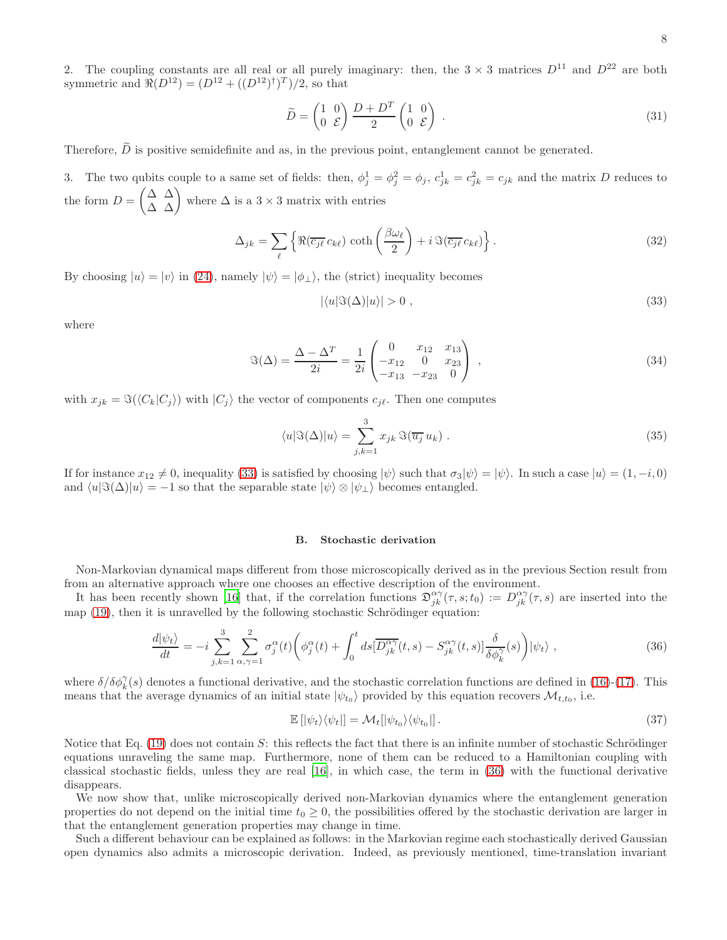2. The coupling constants are all real or all purely imaginary: then, the  $3 \times 3$  matrices  $D^{11}$  and  $D^{22}$  are both symmetric and  $\Re(D^{12}) = (D^{12} + ((D^{12})^{\dagger})^T)/2$ , so that

$$
\widetilde{D} = \begin{pmatrix} 1 & 0 \\ 0 & \mathcal{E} \end{pmatrix} \frac{D + D^T}{2} \begin{pmatrix} 1 & 0 \\ 0 & \mathcal{E} \end{pmatrix} . \tag{31}
$$

Therefore,  $\tilde{D}$  is positive semidefinite and as, in the previous point, entanglement cannot be generated.

3. The two qubits couple to a same set of fields: then,  $\phi_j^1 = \phi_j^2 = \phi_j$ ,  $c_{jk}^1 = c_{jk}^2 = c_{jk}$  and the matrix D reduces to the form  $D =$  $\begin{pmatrix} \Delta & \Delta \\ \Delta & \Delta \end{pmatrix}$  where  $\Delta$  is a 3 × 3 matrix with entries

$$
\Delta_{jk} = \sum_{\ell} \left\{ \Re(\overline{c_{j\ell}} c_{k\ell}) \coth\left(\frac{\beta \omega_{\ell}}{2}\right) + i \Im(\overline{c_{j\ell}} c_{k\ell}) \right\}.
$$
\n(32)

By choosing  $|u\rangle = |v\rangle$  in [\(24\)](#page-5-1), namely  $|\psi\rangle = |\phi_{\perp}\rangle$ , the (strict) inequality becomes

<span id="page-7-0"></span>
$$
|\langle u|\Im(\Delta)|u\rangle|>0\;, \tag{33}
$$

where

$$
\Im(\Delta) = \frac{\Delta - \Delta^T}{2i} = \frac{1}{2i} \begin{pmatrix} 0 & x_{12} & x_{13} \\ -x_{12} & 0 & x_{23} \\ -x_{13} & -x_{23} & 0 \end{pmatrix} , \qquad (34)
$$

with  $x_{jk} = \Im(\langle C_k|C_j \rangle)$  with  $|C_j \rangle$  the vector of components  $c_{j\ell}$ . Then one computes

$$
\langle u|\Im(\Delta)|u\rangle = \sum_{j,k=1}^{3} x_{jk} \Im(\overline{u_j} u_k) . \tag{35}
$$

If for instance  $x_{12} \neq 0$ , inequality [\(33\)](#page-7-0) is satisfied by choosing  $|\psi\rangle$  such that  $\sigma_3|\psi\rangle = |\psi\rangle$ . In such a case  $|u\rangle = (1, -i, 0)$ and  $\langle u|\Im(\Delta)|u \rangle = -1$  so that the separable state  $|\psi\rangle \otimes |\psi_{\perp}\rangle$  becomes entangled.

### B. Stochastic derivation

Non-Markovian dynamical maps different from those microscopically derived as in the previous Section result from from an alternative approach where one chooses an effective description of the environment.

It has been recently shown [\[16\]](#page-11-14) that, if the correlation functions  $\mathfrak{D}_{jk}^{\alpha\gamma}(\tau,s;t_0) := D_{jk}^{\alpha\gamma}(\tau,s)$  are inserted into the map  $(19)$ , then it is unravelled by the following stochastic Schrödinger equation:

<span id="page-7-1"></span>
$$
\frac{d|\psi_t\rangle}{dt} = -i \sum_{j,k=1}^3 \sum_{\alpha,\gamma=1}^2 \sigma_j^{\alpha}(t) \left( \phi_j^{\alpha}(t) + \int_0^t ds [\overline{D_{jk}^{\alpha\gamma}}(t,s) - S_{jk}^{\alpha\gamma}(t,s)] \frac{\delta}{\delta \phi_k^{\gamma}}(s) \right) |\psi_t\rangle , \qquad (36)
$$

where  $\delta/\delta\phi_k^{\gamma}(s)$  denotes a functional derivative, and the stochastic correlation functions are defined in [\(16\)](#page-4-4)-[\(17\)](#page-4-4). This means that the average dynamics of an initial state  $|\psi_{t_0}\rangle$  provided by this equation recovers  $\mathcal{M}_{t,t_0}$ , i.e.

$$
\mathbb{E}\left[|\psi_t\rangle\langle\psi_t|\right] = \mathcal{M}_t[|\psi_{t_0}\rangle\langle\psi_{t_0}|].\tag{37}
$$

Notice that Eq.  $(19)$  does not contain S: this reflects the fact that there is an infinite number of stochastic Schrödinger equations unraveling the same map. Furthermore, none of them can be reduced to a Hamiltonian coupling with classical stochastic fields, unless they are real [\[16\]](#page-11-14), in which case, the term in [\(36\)](#page-7-1) with the functional derivative disappears.

We now show that, unlike microscopically derived non-Markovian dynamics where the entanglement generation properties do not depend on the initial time  $t_0 \geq 0$ , the possibilities offered by the stochastic derivation are larger in that the entanglement generation properties may change in time.

Such a different behaviour can be explained as follows: in the Markovian regime each stochastically derived Gaussian open dynamics also admits a microscopic derivation. Indeed, as previously mentioned, time-translation invariant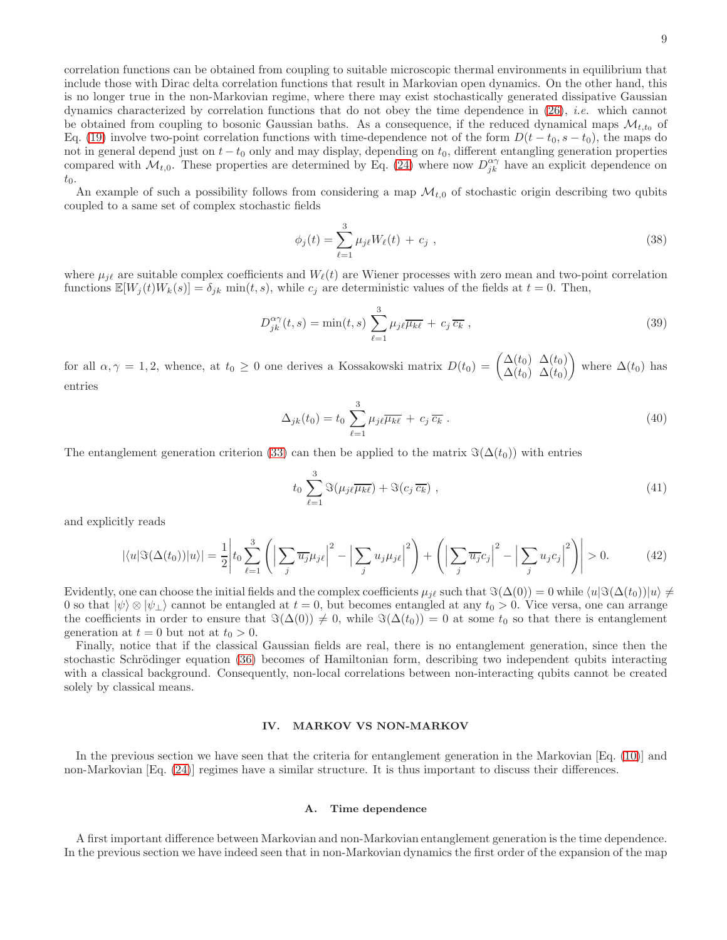correlation functions can be obtained from coupling to suitable microscopic thermal environments in equilibrium that include those with Dirac delta correlation functions that result in Markovian open dynamics. On the other hand, this is no longer true in the non-Markovian regime, where there may exist stochastically generated dissipative Gaussian dynamics characterized by correlation functions that do not obey the time dependence in [\(26\)](#page-5-2), i.e. which cannot be obtained from coupling to bosonic Gaussian baths. As a consequence, if the reduced dynamical maps  $\mathcal{M}_{t,t_0}$  of Eq. [\(19\)](#page-4-1) involve two-point correlation functions with time-dependence not of the form  $D(t - t_0, s - t_0)$ , the maps do not in general depend just on  $t - t_0$  only and may display, depending on  $t_0$ , different entangling generation properties compared with  $\mathcal{M}_{t,0}$ . These properties are determined by Eq. [\(24\)](#page-5-1) where now  $D_{jk}^{\alpha\gamma}$  have an explicit dependence on  $t_0$ .

An example of such a possibility follows from considering a map  $\mathcal{M}_{t,0}$  of stochastic origin describing two qubits coupled to a same set of complex stochastic fields

$$
\phi_j(t) = \sum_{\ell=1}^3 \mu_{j\ell} W_{\ell}(t) + c_j \tag{38}
$$

where  $\mu_{i\ell}$  are suitable complex coefficients and  $W_{\ell}(t)$  are Wiener processes with zero mean and two-point correlation functions  $\mathbb{E}[W_i(t)W_k(s)] = \delta_{ik} \min(t, s)$ , while  $c_i$  are deterministic values of the fields at  $t = 0$ . Then,

$$
D_{jk}^{\alpha\gamma}(t,s) = \min(t,s) \sum_{\ell=1}^{3} \mu_{j\ell} \overline{\mu_{k\ell}} + c_j \overline{c_k} , \qquad (39)
$$

for all  $\alpha, \gamma = 1, 2$ , whence, at  $t_0 \geq 0$  one derives a Kossakowski matrix  $D(t_0) = \begin{pmatrix} \Delta(t_0) & \Delta(t_0) \\ \Delta(t_0) & \Delta(t_0) \end{pmatrix}$  $\Delta(t_0)$   $\Delta(t_0)$  $\setminus$ where  $\Delta(t_0)$  has entries

$$
\Delta_{jk}(t_0) = t_0 \sum_{\ell=1}^3 \mu_{j\ell} \overline{\mu_{k\ell}} + c_j \overline{c_k} . \qquad (40)
$$

The entanglement generation criterion [\(33\)](#page-7-0) can then be applied to the matrix  $\Im(\Delta(t_0))$  with entries

$$
t_0 \sum_{\ell=1}^3 \Im(\mu_{j\ell} \overline{\mu_{k\ell}}) + \Im(c_j \overline{c_k}), \qquad (41)
$$

and explicitly reads

$$
|\langle u|\Im(\Delta(t_0))|u\rangle| = \frac{1}{2} \left| t_0 \sum_{\ell=1}^3 \left( \left| \sum_j \overline{u_j} \mu_{j\ell} \right|^2 - \left| \sum_j u_j \mu_{j\ell} \right|^2 \right) + \left( \left| \sum_j \overline{u_j} c_j \right|^2 - \left| \sum_j u_j c_j \right|^2 \right) \right| > 0. \tag{42}
$$

Evidently, one can choose the initial fields and the complex coefficients  $\mu_{i\ell}$  such that  $\Im(\Delta(0)) = 0$  while  $\langle u|\Im(\Delta(t_0))|u\rangle \neq 0$ 0 so that  $|\psi\rangle \otimes |\psi_{\perp}\rangle$  cannot be entangled at  $t = 0$ , but becomes entangled at any  $t_0 > 0$ . Vice versa, one can arrange the coefficients in order to ensure that  $\Im(\Delta(0)) \neq 0$ , while  $\Im(\Delta(t_0)) = 0$  at some  $t_0$  so that there is entanglement generation at  $t = 0$  but not at  $t_0 > 0$ .

Finally, notice that if the classical Gaussian fields are real, there is no entanglement generation, since then the stochastic Schrödinger equation [\(36\)](#page-7-1) becomes of Hamiltonian form, describing two independent qubits interacting with a classical background. Consequently, non-local correlations between non-interacting qubits cannot be created solely by classical means.

#### IV. MARKOV VS NON-MARKOV

In the previous section we have seen that the criteria for entanglement generation in the Markovian [Eq. [\(10\)](#page-3-2)] and non-Markovian [Eq. [\(24\)](#page-5-1)] regimes have a similar structure. It is thus important to discuss their differences.

## A. Time dependence

A first important difference between Markovian and non-Markovian entanglement generation is the time dependence. In the previous section we have indeed seen that in non-Markovian dynamics the first order of the expansion of the map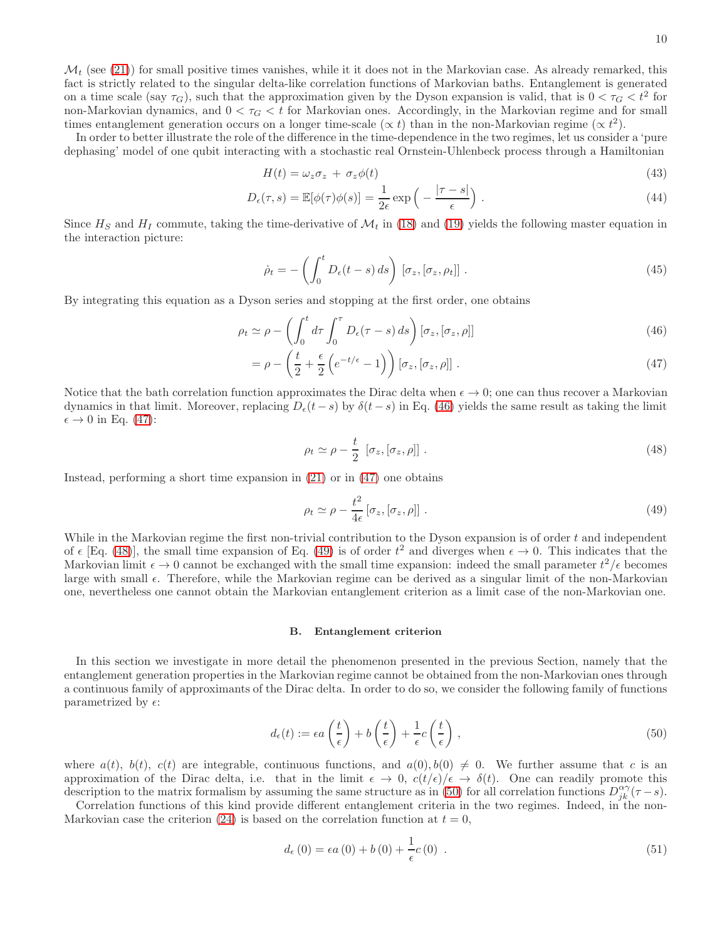$\mathcal{M}_t$  (see [\(21\)](#page-5-3)) for small positive times vanishes, while it it does not in the Markovian case. As already remarked, this fact is strictly related to the singular delta-like correlation functions of Markovian baths. Entanglement is generated on a time scale (say  $\tau_G$ ), such that the approximation given by the Dyson expansion is valid, that is  $0 < \tau_G < t^2$  for non-Markovian dynamics, and  $0 < \tau_G < t$  for Markovian ones. Accordingly, in the Markovian regime and for small times entanglement generation occurs on a longer time-scale  $(\propto t)$  than in the non-Markovian regime  $(\propto t^2)$ .

In order to better illustrate the role of the difference in the time-dependence in the two regimes, let us consider a 'pure dephasing' model of one qubit interacting with a stochastic real Ornstein-Uhlenbeck process through a Hamiltonian

<span id="page-9-4"></span>
$$
H(t) = \omega_z \sigma_z + \sigma_z \phi(t) \tag{43}
$$

$$
D_{\epsilon}(\tau, s) = \mathbb{E}[\phi(\tau)\phi(s)] = \frac{1}{2\epsilon} \exp\left(-\frac{|\tau - s|}{\epsilon}\right). \tag{44}
$$

Since  $H_S$  and  $H_I$  commute, taking the time-derivative of  $\mathcal{M}_t$  in [\(18\)](#page-4-5) and [\(19\)](#page-4-1) yields the following master equation in the interaction picture:

$$
\dot{\rho}_t = -\left(\int_0^t D_\epsilon(t-s) \, ds\right) \left[\sigma_z, \left[\sigma_z, \rho_t\right]\right]. \tag{45}
$$

By integrating this equation as a Dyson series and stopping at the first order, one obtains

<span id="page-9-0"></span>
$$
\rho_t \simeq \rho - \left( \int_0^t d\tau \int_0^{\tau} D_{\epsilon}(\tau - s) \, ds \right) [\sigma_z, [\sigma_z, \rho]] \tag{46}
$$

$$
= \rho - \left(\frac{t}{2} + \frac{\epsilon}{2} \left( e^{-t/\epsilon} - 1 \right) \right) [\sigma_z, [\sigma_z, \rho]] . \tag{47}
$$

Notice that the bath correlation function approximates the Dirac delta when  $\epsilon \to 0$ ; one can thus recover a Markovian dynamics in that limit. Moreover, replacing  $D<sub>\epsilon</sub>(t-s)$  by  $\delta(t-s)$  in Eq. [\(46\)](#page-9-0) yields the same result as taking the limit  $\epsilon \rightarrow 0$  in Eq. [\(47\)](#page-9-0):

<span id="page-9-1"></span>
$$
\rho_t \simeq \rho - \frac{t}{2} \left[ \sigma_z, [\sigma_z, \rho] \right]. \tag{48}
$$

Instead, performing a short time expansion in [\(21\)](#page-5-3) or in [\(47\)](#page-9-0) one obtains

<span id="page-9-2"></span>
$$
\rho_t \simeq \rho - \frac{t^2}{4\epsilon} [\sigma_z, [\sigma_z, \rho]] \ . \tag{49}
$$

While in the Markovian regime the first non-trivial contribution to the Dyson expansion is of order  $t$  and independent of  $\epsilon$  [Eq. [\(48\)](#page-9-1)], the small time expansion of Eq. [\(49\)](#page-9-2) is of order  $t^2$  and diverges when  $\epsilon \to 0$ . This indicates that the Markovian limit  $\epsilon \to 0$  cannot be exchanged with the small time expansion: indeed the small parameter  $t^2/\epsilon$  becomes large with small  $\epsilon$ . Therefore, while the Markovian regime can be derived as a singular limit of the non-Markovian one, nevertheless one cannot obtain the Markovian entanglement criterion as a limit case of the non-Markovian one.

#### B. Entanglement criterion

In this section we investigate in more detail the phenomenon presented in the previous Section, namely that the entanglement generation properties in the Markovian regime cannot be obtained from the non-Markovian ones through a continuous family of approximants of the Dirac delta. In order to do so, we consider the following family of functions parametrized by  $\epsilon$ :

<span id="page-9-3"></span>
$$
d_{\epsilon}(t) := \epsilon a \left(\frac{t}{\epsilon}\right) + b \left(\frac{t}{\epsilon}\right) + \frac{1}{\epsilon} c \left(\frac{t}{\epsilon}\right) ,\qquad(50)
$$

where  $a(t)$ ,  $b(t)$ ,  $c(t)$  are integrable, continuous functions, and  $a(0)$ ,  $b(0) \neq 0$ . We further assume that c is an approximation of the Dirac delta, i.e. that in the limit  $\epsilon \to 0$ ,  $c(t/\epsilon)/\epsilon \to \delta(t)$ . One can readily promote this description to the matrix formalism by assuming the same structure as in [\(50\)](#page-9-3) for all correlation functions  $D_{jk}^{\alpha\gamma}(\tau-s)$ .

Correlation functions of this kind provide different entanglement criteria in the two regimes. Indeed, in the non-Markovian case the criterion [\(24\)](#page-5-1) is based on the correlation function at  $t = 0$ ,

$$
d_{\epsilon}(0) = \epsilon a(0) + b(0) + \frac{1}{\epsilon}c(0) .
$$
 (51)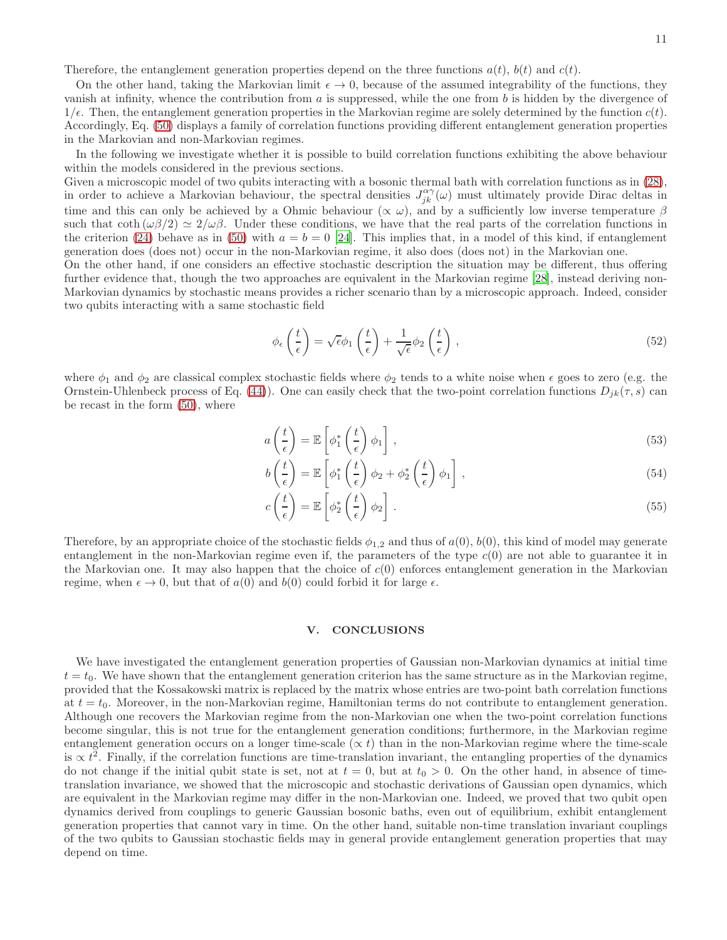Therefore, the entanglement generation properties depend on the three functions  $a(t)$ ,  $b(t)$  and  $c(t)$ .

On the other hand, taking the Markovian limit  $\epsilon \to 0$ , because of the assumed integrability of the functions, they vanish at infinity, whence the contribution from  $a$  is suppressed, while the one from  $b$  is hidden by the divergence of  $1/\epsilon$ . Then, the entanglement generation properties in the Markovian regime are solely determined by the function  $c(t)$ . Accordingly, Eq. [\(50\)](#page-9-3) displays a family of correlation functions providing different entanglement generation properties in the Markovian and non-Markovian regimes.

In the following we investigate whether it is possible to build correlation functions exhibiting the above behaviour within the models considered in the previous sections.

Given a microscopic model of two qubits interacting with a bosonic thermal bath with correlation functions as in  $(28)$ , in order to achieve a Markovian behaviour, the spectral densities  $J_{jk}^{\alpha\gamma}(\omega)$  must ultimately provide Dirac deltas in time and this can only be achieved by a Ohmic behaviour ( $\propto \omega$ ), and by a sufficiently low inverse temperature  $\beta$ such that coth  $(\omega\beta/2) \simeq 2/\omega\beta$ . Under these conditions, we have that the real parts of the correlation functions in the criterion [\(24\)](#page-5-1) behave as in [\(50\)](#page-9-3) with  $a = b = 0$  [\[24\]](#page-11-22). This implies that, in a model of this kind, if entanglement generation does (does not) occur in the non-Markovian regime, it also does (does not) in the Markovian one.

On the other hand, if one considers an effective stochastic description the situation may be different, thus offering further evidence that, though the two approaches are equivalent in the Markovian regime [\[28\]](#page-11-27), instead deriving non-Markovian dynamics by stochastic means provides a richer scenario than by a microscopic approach. Indeed, consider two qubits interacting with a same stochastic field

$$
\phi_{\epsilon}\left(\frac{t}{\epsilon}\right) = \sqrt{\epsilon}\phi_1\left(\frac{t}{\epsilon}\right) + \frac{1}{\sqrt{\epsilon}}\phi_2\left(\frac{t}{\epsilon}\right),\tag{52}
$$

where  $\phi_1$  and  $\phi_2$  are classical complex stochastic fields where  $\phi_2$  tends to a white noise when  $\epsilon$  goes to zero (e.g. the Ornstein-Uhlenbeck process of Eq. [\(44\)](#page-9-4)). One can easily check that the two-point correlation functions  $D_{jk}(\tau, s)$  can be recast in the form [\(50\)](#page-9-3), where

$$
a\left(\frac{t}{\epsilon}\right) = \mathbb{E}\left[\phi_1^*\left(\frac{t}{\epsilon}\right)\phi_1\right],\tag{53}
$$

$$
b\left(\frac{t}{\epsilon}\right) = \mathbb{E}\left[\phi_1^*\left(\frac{t}{\epsilon}\right)\phi_2 + \phi_2^*\left(\frac{t}{\epsilon}\right)\phi_1\right],\tag{54}
$$

$$
c\left(\frac{t}{\epsilon}\right) = \mathbb{E}\left[\phi_2^*\left(\frac{t}{\epsilon}\right)\phi_2\right].
$$
\n(55)

Therefore, by an appropriate choice of the stochastic fields  $\phi_{1,2}$  and thus of  $a(0), b(0)$ , this kind of model may generate entanglement in the non-Markovian regime even if, the parameters of the type  $c(0)$  are not able to guarantee it in the Markovian one. It may also happen that the choice of  $c(0)$  enforces entanglement generation in the Markovian regime, when  $\epsilon \to 0$ , but that of  $a(0)$  and  $b(0)$  could forbid it for large  $\epsilon$ .

## V. CONCLUSIONS

We have investigated the entanglement generation properties of Gaussian non-Markovian dynamics at initial time  $t = t<sub>0</sub>$ . We have shown that the entanglement generation criterion has the same structure as in the Markovian regime, provided that the Kossakowski matrix is replaced by the matrix whose entries are two-point bath correlation functions at  $t = t_0$ . Moreover, in the non-Markovian regime, Hamiltonian terms do not contribute to entanglement generation. Although one recovers the Markovian regime from the non-Markovian one when the two-point correlation functions become singular, this is not true for the entanglement generation conditions; furthermore, in the Markovian regime entanglement generation occurs on a longer time-scale ( $\propto t$ ) than in the non-Markovian regime where the time-scale is  $\propto t^2$ . Finally, if the correlation functions are time-translation invariant, the entangling properties of the dynamics do not change if the initial qubit state is set, not at  $t = 0$ , but at  $t_0 > 0$ . On the other hand, in absence of timetranslation invariance, we showed that the microscopic and stochastic derivations of Gaussian open dynamics, which are equivalent in the Markovian regime may differ in the non-Markovian one. Indeed, we proved that two qubit open dynamics derived from couplings to generic Gaussian bosonic baths, even out of equilibrium, exhibit entanglement generation properties that cannot vary in time. On the other hand, suitable non-time translation invariant couplings of the two qubits to Gaussian stochastic fields may in general provide entanglement generation properties that may depend on time.